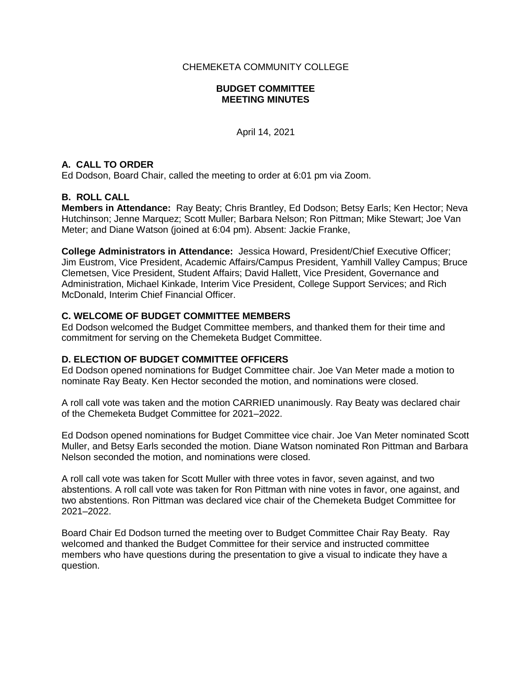CHEMEKETA COMMUNITY COLLEGE

### **BUDGET COMMITTEE MEETING MINUTES**

April 14, 2021

## **A. CALL TO ORDER**

Ed Dodson, Board Chair, called the meeting to order at 6:01 pm via Zoom.

## **B. ROLL CALL**

**Members in Attendance:** Ray Beaty; Chris Brantley, Ed Dodson; Betsy Earls; Ken Hector; Neva Hutchinson; Jenne Marquez; Scott Muller; Barbara Nelson; Ron Pittman; Mike Stewart; Joe Van Meter; and Diane Watson (joined at 6:04 pm). Absent: Jackie Franke,

**College Administrators in Attendance:** Jessica Howard, President/Chief Executive Officer; Jim Eustrom, Vice President, Academic Affairs/Campus President, Yamhill Valley Campus; Bruce Clemetsen, Vice President, Student Affairs; David Hallett, Vice President, Governance and Administration, Michael Kinkade, Interim Vice President, College Support Services; and Rich McDonald, Interim Chief Financial Officer.

## **C. WELCOME OF BUDGET COMMITTEE MEMBERS**

Ed Dodson welcomed the Budget Committee members, and thanked them for their time and commitment for serving on the Chemeketa Budget Committee.

### **D. ELECTION OF BUDGET COMMITTEE OFFICERS**

Ed Dodson opened nominations for Budget Committee chair. Joe Van Meter made a motion to nominate Ray Beaty. Ken Hector seconded the motion, and nominations were closed.

A roll call vote was taken and the motion CARRIED unanimously. Ray Beaty was declared chair of the Chemeketa Budget Committee for 2021–2022.

Ed Dodson opened nominations for Budget Committee vice chair. Joe Van Meter nominated Scott Muller, and Betsy Earls seconded the motion. Diane Watson nominated Ron Pittman and Barbara Nelson seconded the motion, and nominations were closed.

A roll call vote was taken for Scott Muller with three votes in favor, seven against, and two abstentions. A roll call vote was taken for Ron Pittman with nine votes in favor, one against, and two abstentions. Ron Pittman was declared vice chair of the Chemeketa Budget Committee for 2021–2022.

Board Chair Ed Dodson turned the meeting over to Budget Committee Chair Ray Beaty. Ray welcomed and thanked the Budget Committee for their service and instructed committee members who have questions during the presentation to give a visual to indicate they have a question.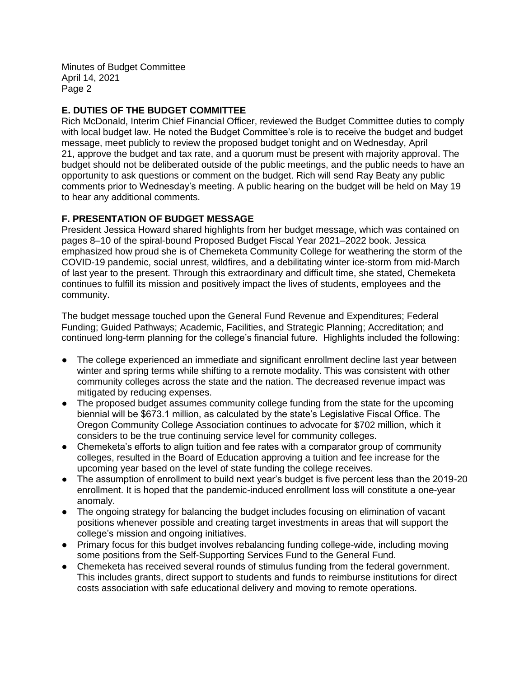# **E. DUTIES OF THE BUDGET COMMITTEE**

Rich McDonald, Interim Chief Financial Officer, reviewed the Budget Committee duties to comply with local budget law. He noted the Budget Committee's role is to receive the budget and budget message, meet publicly to review the proposed budget tonight and on Wednesday, April 21, approve the budget and tax rate, and a quorum must be present with majority approval. The budget should not be deliberated outside of the public meetings, and the public needs to have an opportunity to ask questions or comment on the budget. Rich will send Ray Beaty any public comments prior to Wednesday's meeting. A public hearing on the budget will be held on May 19 to hear any additional comments.

# **F. PRESENTATION OF BUDGET MESSAGE**

President Jessica Howard shared highlights from her budget message, which was contained on pages 8–10 of the spiral-bound Proposed Budget Fiscal Year 2021–2022 book. Jessica emphasized how proud she is of Chemeketa Community College for weathering the storm of the COVID-19 pandemic, social unrest, wildfires, and a debilitating winter ice-storm from mid-March of last year to the present. Through this extraordinary and difficult time, she stated, Chemeketa continues to fulfill its mission and positively impact the lives of students, employees and the community.

The budget message touched upon the General Fund Revenue and Expenditures; Federal Funding; Guided Pathways; Academic, Facilities, and Strategic Planning; Accreditation; and continued long-term planning for the college's financial future. Highlights included the following:

- The college experienced an immediate and significant enrollment decline last year between winter and spring terms while shifting to a remote modality. This was consistent with other community colleges across the state and the nation. The decreased revenue impact was mitigated by reducing expenses.
- The proposed budget assumes community college funding from the state for the upcoming biennial will be \$673.1 million, as calculated by the state's Legislative Fiscal Office. The Oregon Community College Association continues to advocate for \$702 million, which it considers to be the true continuing service level for community colleges.
- Chemeketa's efforts to align tuition and fee rates with a comparator group of community colleges, resulted in the Board of Education approving a tuition and fee increase for the upcoming year based on the level of state funding the college receives.
- The assumption of enrollment to build next year's budget is five percent less than the 2019-20 enrollment. It is hoped that the pandemic-induced enrollment loss will constitute a one-year anomaly.
- The ongoing strategy for balancing the budget includes focusing on elimination of vacant positions whenever possible and creating target investments in areas that will support the college's mission and ongoing initiatives.
- Primary focus for this budget involves rebalancing funding college-wide, including moving some positions from the Self-Supporting Services Fund to the General Fund.
- Chemeketa has received several rounds of stimulus funding from the federal government. This includes grants, direct support to students and funds to reimburse institutions for direct costs association with safe educational delivery and moving to remote operations.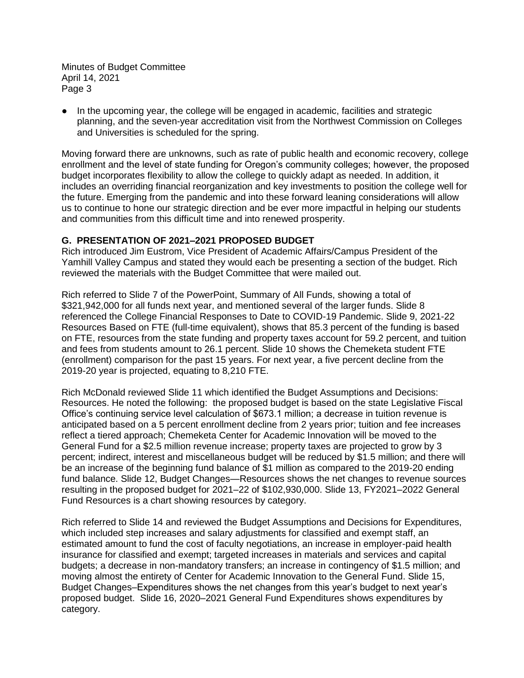● In the upcoming year, the college will be engaged in academic, facilities and strategic planning, and the seven-year accreditation visit from the Northwest Commission on Colleges and Universities is scheduled for the spring.

Moving forward there are unknowns, such as rate of public health and economic recovery, college enrollment and the level of state funding for Oregon's community colleges; however, the proposed budget incorporates flexibility to allow the college to quickly adapt as needed. In addition, it includes an overriding financial reorganization and key investments to position the college well for the future. Emerging from the pandemic and into these forward leaning considerations will allow us to continue to hone our strategic direction and be ever more impactful in helping our students and communities from this difficult time and into renewed prosperity.

## **G. PRESENTATION OF 2021–2021 PROPOSED BUDGET**

Rich introduced Jim Eustrom, Vice President of Academic Affairs/Campus President of the Yamhill Valley Campus and stated they would each be presenting a section of the budget. Rich reviewed the materials with the Budget Committee that were mailed out.

Rich referred to Slide 7 of the PowerPoint, Summary of All Funds, showing a total of \$321,942,000 for all funds next year, and mentioned several of the larger funds. Slide 8 referenced the College Financial Responses to Date to COVID-19 Pandemic. Slide 9, 2021-22 Resources Based on FTE (full-time equivalent), shows that 85.3 percent of the funding is based on FTE, resources from the state funding and property taxes account for 59.2 percent, and tuition and fees from students amount to 26.1 percent. Slide 10 shows the Chemeketa student FTE (enrollment) comparison for the past 15 years. For next year, a five percent decline from the 2019-20 year is projected, equating to 8,210 FTE.

Rich McDonald reviewed Slide 11 which identified the Budget Assumptions and Decisions: Resources. He noted the following: the proposed budget is based on the state Legislative Fiscal Office's continuing service level calculation of \$673.1 million; a decrease in tuition revenue is anticipated based on a 5 percent enrollment decline from 2 years prior; tuition and fee increases reflect a tiered approach; Chemeketa Center for Academic Innovation will be moved to the General Fund for a \$2.5 million revenue increase; property taxes are projected to grow by 3 percent; indirect, interest and miscellaneous budget will be reduced by \$1.5 million; and there will be an increase of the beginning fund balance of \$1 million as compared to the 2019-20 ending fund balance. Slide 12, Budget Changes—Resources shows the net changes to revenue sources resulting in the proposed budget for 2021–22 of \$102,930,000. Slide 13, FY2021–2022 General Fund Resources is a chart showing resources by category.

Rich referred to Slide 14 and reviewed the Budget Assumptions and Decisions for Expenditures, which included step increases and salary adjustments for classified and exempt staff, an estimated amount to fund the cost of faculty negotiations, an increase in employer-paid health insurance for classified and exempt; targeted increases in materials and services and capital budgets; a decrease in non-mandatory transfers; an increase in contingency of \$1.5 million; and moving almost the entirety of Center for Academic Innovation to the General Fund. Slide 15, Budget Changes–Expenditures shows the net changes from this year's budget to next year's proposed budget. Slide 16, 2020–2021 General Fund Expenditures shows expenditures by category.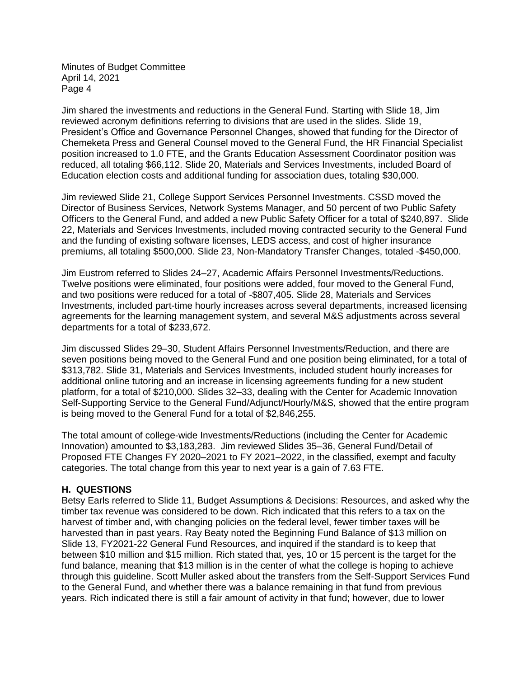Jim shared the investments and reductions in the General Fund. Starting with Slide 18, Jim reviewed acronym definitions referring to divisions that are used in the slides. Slide 19, President's Office and Governance Personnel Changes, showed that funding for the Director of Chemeketa Press and General Counsel moved to the General Fund, the HR Financial Specialist position increased to 1.0 FTE, and the Grants Education Assessment Coordinator position was reduced, all totaling \$66,112. Slide 20, Materials and Services Investments, included Board of Education election costs and additional funding for association dues, totaling \$30,000.

Jim reviewed Slide 21, College Support Services Personnel Investments. CSSD moved the Director of Business Services, Network Systems Manager, and 50 percent of two Public Safety Officers to the General Fund, and added a new Public Safety Officer for a total of \$240,897. Slide 22, Materials and Services Investments, included moving contracted security to the General Fund and the funding of existing software licenses, LEDS access, and cost of higher insurance premiums, all totaling \$500,000. Slide 23, Non-Mandatory Transfer Changes, totaled -\$450,000.

Jim Eustrom referred to Slides 24–27, Academic Affairs Personnel Investments/Reductions. Twelve positions were eliminated, four positions were added, four moved to the General Fund, and two positions were reduced for a total of -\$807,405. Slide 28, Materials and Services Investments, included part-time hourly increases across several departments, increased licensing agreements for the learning management system, and several M&S adjustments across several departments for a total of \$233,672.

Jim discussed Slides 29–30, Student Affairs Personnel Investments/Reduction, and there are seven positions being moved to the General Fund and one position being eliminated, for a total of \$313,782. Slide 31, Materials and Services Investments, included student hourly increases for additional online tutoring and an increase in licensing agreements funding for a new student platform, for a total of \$210,000. Slides 32–33, dealing with the Center for Academic Innovation Self-Supporting Service to the General Fund/Adjunct/Hourly/M&S, showed that the entire program is being moved to the General Fund for a total of \$2,846,255.

The total amount of college-wide Investments/Reductions (including the Center for Academic Innovation) amounted to \$3,183,283. Jim reviewed Slides 35–36, General Fund/Detail of Proposed FTE Changes FY 2020–2021 to FY 2021–2022, in the classified, exempt and faculty categories. The total change from this year to next year is a gain of 7.63 FTE.

### **H. QUESTIONS**

Betsy Earls referred to Slide 11, Budget Assumptions & Decisions: Resources, and asked why the timber tax revenue was considered to be down. Rich indicated that this refers to a tax on the harvest of timber and, with changing policies on the federal level, fewer timber taxes will be harvested than in past years. Ray Beaty noted the Beginning Fund Balance of \$13 million on Slide 13, FY2021-22 General Fund Resources, and inquired if the standard is to keep that between \$10 million and \$15 million. Rich stated that, yes, 10 or 15 percent is the target for the fund balance, meaning that \$13 million is in the center of what the college is hoping to achieve through this guideline. Scott Muller asked about the transfers from the Self-Support Services Fund to the General Fund, and whether there was a balance remaining in that fund from previous years. Rich indicated there is still a fair amount of activity in that fund; however, due to lower